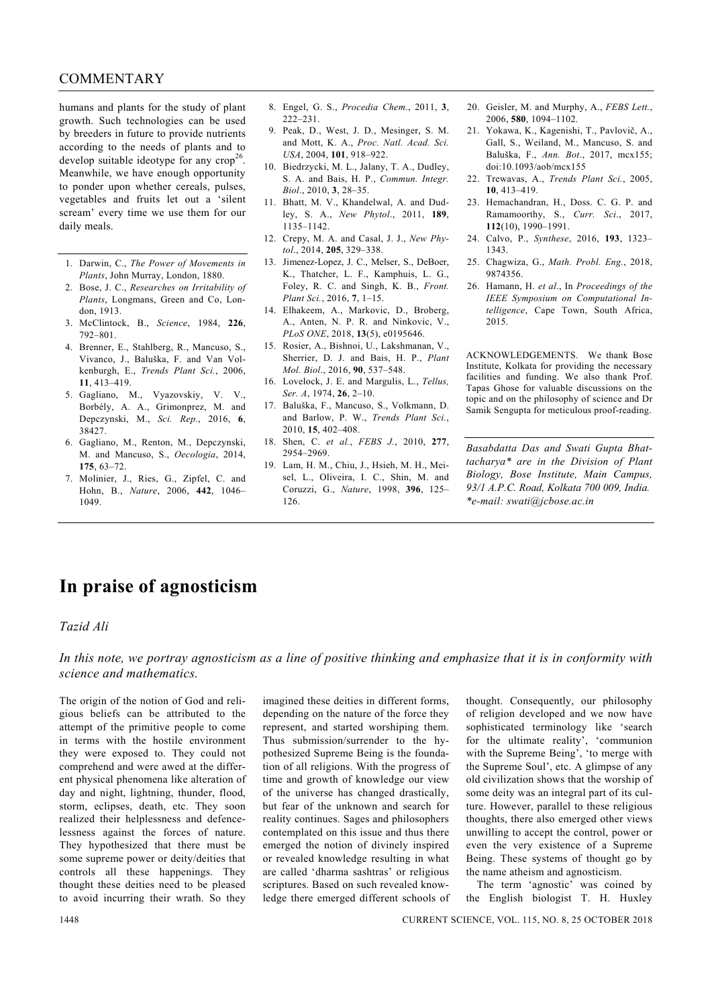### COMMENTARY

humans and plants for the study of plant growth. Such technologies can be used by breeders in future to provide nutrients according to the needs of plants and to develop suitable ideotype for any  $\text{crop}^2$ Meanwhile, we have enough opportunity to ponder upon whether cereals, pulses, vegetables and fruits let out a 'silent scream' every time we use them for our daily meals.

- 1. Darwin, C., *The Power of Movements in Plants*, John Murray, London, 1880.
- 2. Bose, J. C., *Researches on Irritability of Plants*, Longmans, Green and Co, London, 1913.
- 3. McClintock, B., *Science*, 1984, **226**, 792–801.
- 4. Brenner, E., Stahlberg, R., Mancuso, S., Vivanco, J., Baluška, F. and Van Volkenburgh, E., *Trends Plant Sci.*, 2006, **11**, 413–419.
- 5. Gagliano, M., Vyazovskiy, V. V., Borbély, A. A., Grimonprez, M. and Depczynski, M., *Sci. Rep*., 2016, **6**, 38427.
- 6. Gagliano, M., Renton, M., Depczynski, M. and Mancuso, S., *Oecologia*, 2014, **175**, 63–72.
- 7. Molinier, J., Ries, G., Zipfel, C. and Hohn, B., *Nature*, 2006, **442**, 1046– 1049.
- 8. Engel, G. S., *Procedia Chem*., 2011, **3**,  $222 - 231$
- 9. Peak, D., West, J. D., Mesinger, S. M. and Mott, K. A., *Proc. Natl. Acad. Sci. USA*, 2004, **101**, 918–922.
- 10. Biedrzycki, M. L., Jalany, T. A., Dudley, S. A. and Bais, H. P., *Commun. Integr. Biol*., 2010, **3**, 28–35.
- 11. Bhatt, M. V., Khandelwal, A. and Dudley, S. A., *New Phytol*., 2011, **189**, 1135–1142.
- 12. Crepy, M. A. and Casal, J. J., *New Phytol*., 2014, **205**, 329–338.
- 13. Jimenez-Lopez, J. C., Melser, S., DeBoer, K., Thatcher, L. F., Kamphuis, L. G., Foley, R. C. and Singh, K. B., *Front. Plant Sci.*, 2016, **7**, 1–15.
- 14. Elhakeem, A., Markovic, D., Broberg, A., Anten, N. P. R. and Ninkovic, V., *PLoS ONE*, 2018, **13**(5), e0195646.
- 15. Rosier, A., Bishnoi, U., Lakshmanan, V., Sherrier, D. J. and Bais, H. P., *Plant Mol. Biol*., 2016, **90**, 537–548.
- 16. Lovelock, J. E. and Margulis, L., *Tellus, Ser. A*, 1974, **26**, 2–10.
- 17. Baluška, F., Mancuso, S., Volkmann, D. and Barlow, P. W., *Trends Plant Sci.*, 2010, **15**, 402–408.
- 18. Shen, C. *et al.*, *FEBS J.*, 2010, **277**, 2954–2969.
- 19. Lam, H. M., Chiu, J., Hsieh, M. H., Meisel, L., Oliveira, I. C., Shin, M. and Coruzzi, G., *Nature*, 1998, **396**, 125– 126.
- 20. Geisler, M. and Murphy, A., *FEBS Lett.*, 2006, **580**, 1094–1102.
- 21. Yokawa, K., Kagenishi, T., Pavlovič, A., Gall, S., Weiland, M., Mancuso, S. and Baluška, F., *Ann. Bot*., 2017, mcx155; doi:10.1093/aob/mcx155
- 22. Trewavas, A., *Trends Plant Sci.*, 2005, **10**, 413–419.
- 23. Hemachandran, H., Doss. C. G. P. and Ramamoorthy, S., *Curr. Sci*., 2017, **112**(10), 1990–1991.
- 24. Calvo, P., *Synthese*, 2016, **193**, 1323– 1343.
- 25. Chagwiza, G., *Math. Probl. Eng.*, 2018, 9874356.
- 26. Hamann, H. *et al*., In *Proceedings of the IEEE Symposium on Computational Intelligence*, Cape Town, South Africa, 2015.

ACKNOWLEDGEMENTS. We thank Bose Institute, Kolkata for providing the necessary facilities and funding. We also thank Prof. Tapas Ghose for valuable discussions on the topic and on the philosophy of science and Dr Samik Sengupta for meticulous proof-reading.

*Basabdatta Das and Swati Gupta Bhattacharya\* are in the Division of Plant Biology, Bose Institute, Main Campus, 93/1 A.P.C. Road, Kolkata 700 009, India. \*e-mail: swati@jcbose.ac.in* 

## **In praise of agnosticism**

#### *Tazid Ali*

*In this note, we portray agnosticism as a line of positive thinking and emphasize that it is in conformity with science and mathematics.* 

The origin of the notion of God and religious beliefs can be attributed to the attempt of the primitive people to come in terms with the hostile environment they were exposed to. They could not comprehend and were awed at the different physical phenomena like alteration of day and night, lightning, thunder, flood, storm, eclipses, death, etc. They soon realized their helplessness and defencelessness against the forces of nature. They hypothesized that there must be some supreme power or deity/deities that controls all these happenings. They thought these deities need to be pleased to avoid incurring their wrath. So they

imagined these deities in different forms, depending on the nature of the force they represent, and started worshiping them. Thus submission/surrender to the hypothesized Supreme Being is the foundation of all religions. With the progress of time and growth of knowledge our view of the universe has changed drastically, but fear of the unknown and search for reality continues. Sages and philosophers contemplated on this issue and thus there emerged the notion of divinely inspired or revealed knowledge resulting in what are called 'dharma sashtras' or religious scriptures. Based on such revealed knowledge there emerged different schools of thought. Consequently, our philosophy of religion developed and we now have sophisticated terminology like 'search for the ultimate reality', 'communion with the Supreme Being', 'to merge with the Supreme Soul', etc. A glimpse of any old civilization shows that the worship of some deity was an integral part of its culture. However, parallel to these religious thoughts, there also emerged other views unwilling to accept the control, power or even the very existence of a Supreme Being. These systems of thought go by the name atheism and agnosticism.

 The term 'agnostic' was coined by the English biologist T. H. Huxley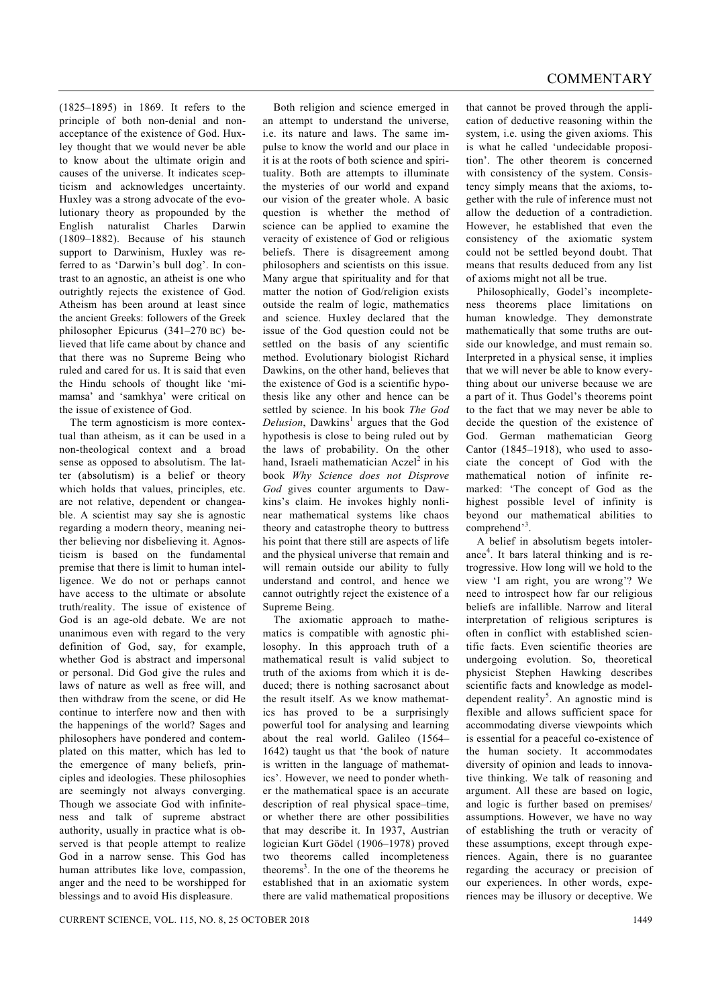(1825–1895) in 1869. It refers to the principle of both non-denial and nonacceptance of the existence of God. Huxley thought that we would never be able to know about the ultimate origin and causes of the universe. It indicates scepticism and acknowledges uncertainty. Huxley was a strong advocate of the evolutionary theory as propounded by the English naturalist Charles Darwin (1809–1882). Because of his staunch support to Darwinism, Huxley was referred to as 'Darwin's bull dog'. In contrast to an agnostic, an atheist is one who outrightly rejects the existence of God. Atheism has been around at least since the ancient Greeks: followers of the Greek philosopher Epicurus (341–270 BC) believed that life came about by chance and that there was no Supreme Being who ruled and cared for us. It is said that even the Hindu schools of thought like 'mimamsa' and 'samkhya' were critical on the issue of existence of God.

 The term agnosticism is more contextual than atheism, as it can be used in a non-theological context and a broad sense as opposed to absolutism. The latter (absolutism) is a belief or theory which holds that values, principles, etc. are not relative, dependent or changeable. A scientist may say she is agnostic regarding a modern theory, meaning neither believing nor disbelieving it. Agnosticism is based on the fundamental premise that there is limit to human intelligence. We do not or perhaps cannot have access to the ultimate or absolute truth/reality. The issue of existence of God is an age-old debate. We are not unanimous even with regard to the very definition of God, say, for example, whether God is abstract and impersonal or personal. Did God give the rules and laws of nature as well as free will, and then withdraw from the scene, or did He continue to interfere now and then with the happenings of the world? Sages and philosophers have pondered and contemplated on this matter, which has led to the emergence of many beliefs, principles and ideologies. These philosophies are seemingly not always converging. Though we associate God with infiniteness and talk of supreme abstract authority, usually in practice what is observed is that people attempt to realize God in a narrow sense. This God has human attributes like love, compassion, anger and the need to be worshipped for blessings and to avoid His displeasure.

 Both religion and science emerged in an attempt to understand the universe, i.e. its nature and laws. The same impulse to know the world and our place in it is at the roots of both science and spirituality. Both are attempts to illuminate the mysteries of our world and expand our vision of the greater whole. A basic question is whether the method of science can be applied to examine the veracity of existence of God or religious beliefs. There is disagreement among philosophers and scientists on this issue. Many argue that spirituality and for that matter the notion of God/religion exists outside the realm of logic, mathematics and science. Huxley declared that the issue of the God question could not be settled on the basis of any scientific method. Evolutionary biologist Richard Dawkins, on the other hand, believes that the existence of God is a scientific hypothesis like any other and hence can be settled by science. In his book *The God*  Delusion, Dawkins<sup>1</sup> argues that the God hypothesis is close to being ruled out by the laws of probability. On the other hand, Israeli mathematician Aczel<sup>2</sup> in his book *Why Science does not Disprove God* gives counter arguments to Dawkins's claim. He invokes highly nonlinear mathematical systems like chaos theory and catastrophe theory to buttress his point that there still are aspects of life and the physical universe that remain and will remain outside our ability to fully understand and control, and hence we cannot outrightly reject the existence of a Supreme Being.

 The axiomatic approach to mathematics is compatible with agnostic philosophy. In this approach truth of a mathematical result is valid subject to truth of the axioms from which it is deduced; there is nothing sacrosanct about the result itself. As we know mathematics has proved to be a surprisingly powerful tool for analysing and learning about the real world. Galileo (1564– 1642) taught us that 'the book of nature is written in the language of mathematics'. However, we need to ponder whether the mathematical space is an accurate description of real physical space–time, or whether there are other possibilities that may describe it. In 1937, Austrian logician Kurt Gödel (1906–1978) proved two theorems called incompleteness theorems<sup>3</sup>. In the one of the theorems he established that in an axiomatic system there are valid mathematical propositions

that cannot be proved through the application of deductive reasoning within the system, i.e. using the given axioms. This is what he called 'undecidable proposition'. The other theorem is concerned with consistency of the system. Consistency simply means that the axioms, together with the rule of inference must not allow the deduction of a contradiction. However, he established that even the consistency of the axiomatic system could not be settled beyond doubt. That means that results deduced from any list of axioms might not all be true.

 Philosophically, Godel's incompleteness theorems place limitations on human knowledge. They demonstrate mathematically that some truths are outside our knowledge, and must remain so. Interpreted in a physical sense, it implies that we will never be able to know everything about our universe because we are a part of it. Thus Godel's theorems point to the fact that we may never be able to decide the question of the existence of God. German mathematician Georg Cantor (1845–1918), who used to associate the concept of God with the mathematical notion of infinite remarked: 'The concept of God as the highest possible level of infinity is beyond our mathematical abilities to comprehend'<sup>3</sup> .

 A belief in absolutism begets intolerance<sup>4</sup> . It bars lateral thinking and is retrogressive. How long will we hold to the view 'I am right, you are wrong'? We need to introspect how far our religious beliefs are infallible. Narrow and literal interpretation of religious scriptures is often in conflict with established scientific facts. Even scientific theories are undergoing evolution. So, theoretical physicist Stephen Hawking describes scientific facts and knowledge as modeldependent reality<sup>5</sup>. An agnostic mind is flexible and allows sufficient space for accommodating diverse viewpoints which is essential for a peaceful co-existence of the human society. It accommodates diversity of opinion and leads to innovative thinking. We talk of reasoning and argument. All these are based on logic, and logic is further based on premises/ assumptions. However, we have no way of establishing the truth or veracity of these assumptions, except through experiences. Again, there is no guarantee regarding the accuracy or precision of our experiences. In other words, experiences may be illusory or deceptive. We